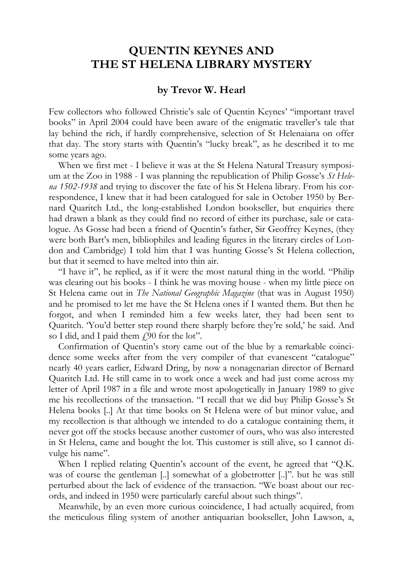## **QUENTIN KEYNES AND THE ST HELENA LIBRARY MYSTERY**

## **by Trevor W. Hearl**

Few collectors who followed Christie's sale of Quentin Keynes' "important travel books" in April 2004 could have been aware of the enigmatic traveller's tale that lay behind the rich, if hardly comprehensive, selection of St Helenaiana on offer that day. The story starts with Quentin's "lucky break", as he described it to me some years ago.

When we first met - I believe it was at the St Helena Natural Treasury symposium at the Zoo in 1988 - I was planning the republication of Philip Gosse's *St Helena 1502-1938* and trying to discover the fate of his St Helena library. From his correspondence, I knew that it had been catalogued for sale in October 1950 by Bernard Quaritch Ltd., the long-established London bookseller, but enquiries there had drawn a blank as they could find no record of either its purchase, sale or catalogue. As Gosse had been a friend of Quentin's father, Sir Geoffrey Keynes, (they were both Bart's men, bibliophiles and leading figures in the literary circles of London and Cambridge) I told him that I was hunting Gosse's St Helena collection, but that it seemed to have melted into thin air.

"I have it", he replied, as if it were the most natural thing in the world. "Philip was clearing out his books - I think he was moving house - when my little piece on St Helena came out in *The National Geographic Magazine* (that was in August 1950) and he promised to let me have the St Helena ones if I wanted them. But then he forgot, and when I reminded him a few weeks later, they had been sent to Quaritch. 'You'd better step round there sharply before they're sold,' he said. And so I did, and I paid them  $f_{1,90}$  for the lot".

Confirmation of Quentin's story came out of the blue by a remarkable coincidence some weeks after from the very compiler of that evanescent "catalogue" nearly 40 years earlier, Edward Dring, by now a nonagenarian director of Bernard Quaritch Ltd. He still came in to work once a week and had just come across my letter of April 1987 in a file and wrote most apologetically in January 1989 to give me his recollections of the transaction. "I recall that we did buy Philip Gosse's St Helena books [..] At that time books on St Helena were of but minor value, and my recollection is that although we intended to do a catalogue containing them, it never got off the stocks because another customer of ours, who was also interested in St Helena, came and bought the lot. This customer is still alive, so I cannot divulge his name".

When I replied relating Quentin's account of the event, he agreed that "Q.K. was of course the gentleman [..] somewhat of a globetrotter [..]". but he was still perturbed about the lack of evidence of the transaction. "We boast about our records, and indeed in 1950 were particularly careful about such things".

Meanwhile, by an even more curious coincidence, I had actually acquired, from the meticulous filing system of another antiquarian bookseller, John Lawson, a,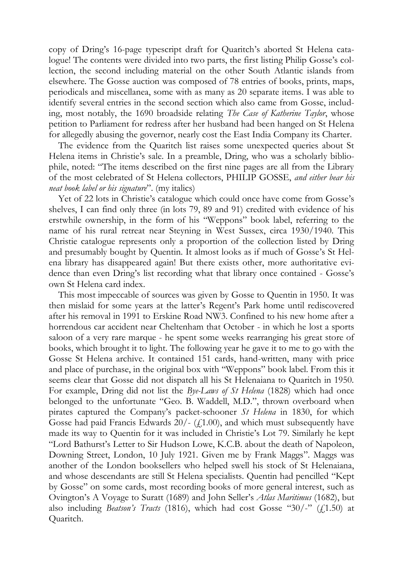copy of Dring's 16-page typescript draft for Quaritch's aborted St Helena catalogue! The contents were divided into two parts, the first listing Philip Gosse's collection, the second including material on the other South Atlantic islands from elsewhere. The Gosse auction was composed of 78 entries of books, prints, maps, periodicals and miscellanea, some with as many as 20 separate items. I was able to identify several entries in the second section which also came from Gosse, including, most notably, the 1690 broadside relating *The Case of Katherine Taylor*, whose petition to Parliament for redress after her husband had been hanged on St Helena for allegedly abusing the governor, nearly cost the East India Company its Charter.

The evidence from the Quaritch list raises some unexpected queries about St Helena items in Christie's sale. In a preamble, Dring, who was a scholarly bibliophile, noted: "The items described on the first nine pages are all from the Library of the most celebrated of St Helena collectors, PHILIP GOSSE, *and either bear his neat book label or his signature*". (my italics)

Yet of 22 lots in Christie's catalogue which could once have come from Gosse's shelves, I can find only three (in lots 79, 89 and 91) credited with evidence of his erstwhile ownership, in the form of his "Weppons" book label, referring to the name of his rural retreat near Steyning in West Sussex, circa 1930/1940. This Christie catalogue represents only a proportion of the collection listed by Dring and presumably bought by Quentin. It almost looks as if much of Gosse's St Helena library has disappeared again! But there exists other, more authoritative evidence than even Dring's list recording what that library once contained - Gosse's own St Helena card index.

This most impeccable of sources was given by Gosse to Quentin in 1950. It was then mislaid for some years at the latter's Regent's Park home until rediscovered after his removal in 1991 to Erskine Road NW3. Confined to his new home after a horrendous car accident near Cheltenham that October - in which he lost a sports saloon of a very rare marque - he spent some weeks rearranging his great store of books, which brought it to light. The following year he gave it to me to go with the Gosse St Helena archive. It contained 151 cards, hand-written, many with price and place of purchase, in the original box with "Weppons" book label. From this it seems clear that Gosse did not dispatch all his St Helenaiana to Quaritch in 1950. For example, Dring did not list the *Bye-Laws of St Helena* (1828) which had once belonged to the unfortunate "Geo. B. Waddell, M.D.", thrown overboard when pirates captured the Company's packet-schooner *St Helena* in 1830, for which Gosse had paid Francis Edwards  $20/-(\text{\textsterling},1.00)$ , and which must subsequently have made its way to Quentin for it was included in Christie's Lot 79. Similarly he kept "Lord Bathurst's Letter to Sir Hudson Lowe, K.C.B. about the death of Napoleon, Downing Street, London, 10 July 1921. Given me by Frank Maggs". Maggs was another of the London booksellers who helped swell his stock of St Helenaiana, and whose descendants are still St Helena specialists. Quentin had pencilled "Kept by Gosse" on some cards, most recording books of more general interest, such as Ovington's A Voyage to Suratt (1689) and John Seller's *Atlas Maritimus* (1682), but also including *Beatson's Tracts* (1816), which had cost Gosse "30/-" (£1.50) at Quaritch.